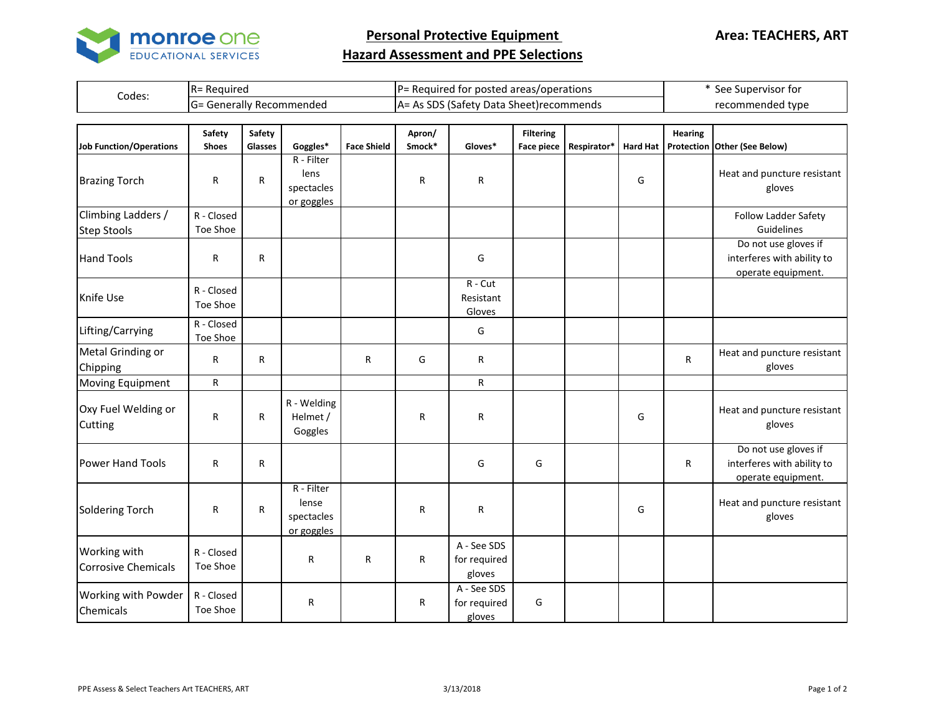

**Personal Protective Equipment** 

## **Hazard Assessment and PPE Selections**

| Codes:                                   | R= Required                   |                   |                                                 |                    | P= Required for posted areas/operations |                                          |                                |                  |                 |                              | * See Supervisor for                                                     |  |
|------------------------------------------|-------------------------------|-------------------|-------------------------------------------------|--------------------|-----------------------------------------|------------------------------------------|--------------------------------|------------------|-----------------|------------------------------|--------------------------------------------------------------------------|--|
|                                          | G= Generally Recommended      |                   |                                                 |                    |                                         | A= As SDS (Safety Data Sheet) recommends |                                | recommended type |                 |                              |                                                                          |  |
|                                          |                               |                   |                                                 |                    |                                         |                                          |                                |                  |                 |                              |                                                                          |  |
| <b>Job Function/Operations</b>           | <b>Safety</b><br><b>Shoes</b> | Safety<br>Glasses | Goggles*                                        | <b>Face Shield</b> | Apron/<br>Smock*                        | Gloves*                                  | <b>Filtering</b><br>Face piece | Respirator*      | <b>Hard Hat</b> | <b>Hearing</b><br>Protection | Other (See Below)                                                        |  |
| <b>Brazing Torch</b>                     | $\mathsf{R}$                  | $\mathsf{R}$      | R - Filter<br>lens<br>spectacles<br>or goggles  |                    | R                                       | R                                        |                                |                  | G               |                              | Heat and puncture resistant<br>gloves                                    |  |
| Climbing Ladders /<br><b>Step Stools</b> | R - Closed<br>Toe Shoe        |                   |                                                 |                    |                                         |                                          |                                |                  |                 |                              | Follow Ladder Safety<br>Guidelines                                       |  |
| <b>Hand Tools</b>                        | ${\sf R}$                     | R                 |                                                 |                    |                                         | G                                        |                                |                  |                 |                              | Do not use gloves if<br>interferes with ability to<br>operate equipment. |  |
| Knife Use                                | R - Closed<br>Toe Shoe        |                   |                                                 |                    |                                         | R - Cut<br>Resistant<br>Gloves           |                                |                  |                 |                              |                                                                          |  |
| Lifting/Carrying                         | R - Closed<br>Toe Shoe        |                   |                                                 |                    |                                         | G                                        |                                |                  |                 |                              |                                                                          |  |
| Metal Grinding or<br>Chipping            | ${\sf R}$                     | R                 |                                                 | R                  | G                                       | R                                        |                                |                  |                 | R                            | Heat and puncture resistant<br>gloves                                    |  |
| Moving Equipment                         | ${\sf R}$                     |                   |                                                 |                    |                                         | $\mathsf{R}$                             |                                |                  |                 |                              |                                                                          |  |
| Oxy Fuel Welding or<br>Cutting           | $\mathsf{R}$                  | R                 | R - Welding<br>Helmet /<br>Goggles              |                    | $\mathsf{R}$                            | R                                        |                                |                  | G               |                              | Heat and puncture resistant<br>gloves                                    |  |
| <b>Power Hand Tools</b>                  | $\mathsf{R}$                  | R                 |                                                 |                    |                                         | G                                        | G                              |                  |                 | R                            | Do not use gloves if<br>interferes with ability to<br>operate equipment. |  |
| <b>Soldering Torch</b>                   | $\mathsf{R}$                  | R                 | R - Filter<br>lense<br>spectacles<br>or goggles |                    | $\mathsf{R}$                            | R                                        |                                |                  | G               |                              | Heat and puncture resistant<br>gloves                                    |  |
| Working with<br>Corrosive Chemicals      | R - Closed<br>Toe Shoe        |                   | R                                               | R                  | ${\sf R}$                               | A - See SDS<br>for required<br>gloves    |                                |                  |                 |                              |                                                                          |  |
| Working with Powder<br>Chemicals         | R - Closed<br>Toe Shoe        |                   | R                                               |                    | ${\sf R}$                               | A - See SDS<br>for required<br>gloves    | G                              |                  |                 |                              |                                                                          |  |